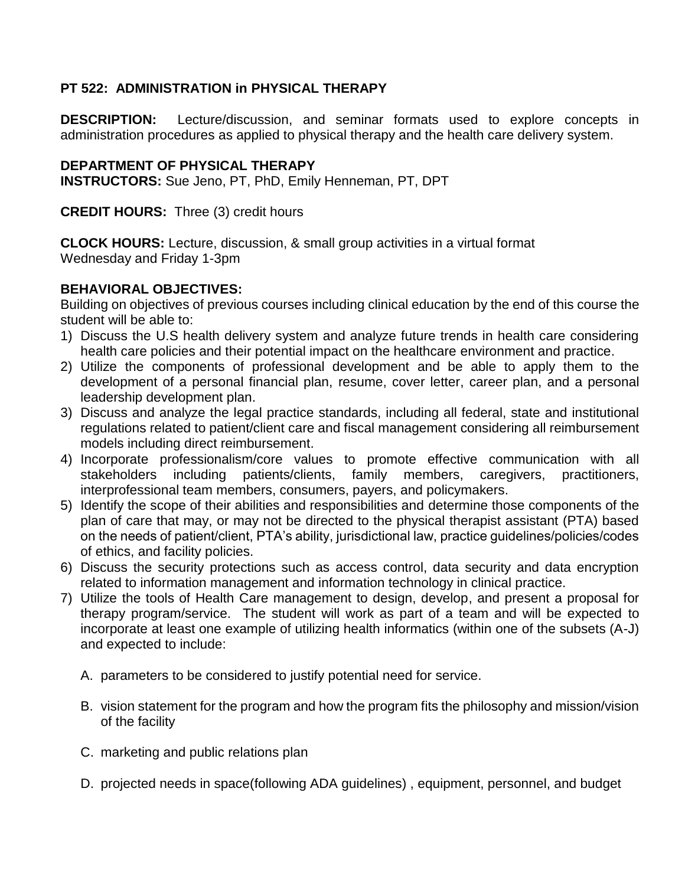# **PT 522: ADMINISTRATION in PHYSICAL THERAPY**

**DESCRIPTION:** Lecture/discussion, and seminar formats used to explore concepts in administration procedures as applied to physical therapy and the health care delivery system.

# **DEPARTMENT OF PHYSICAL THERAPY**

**INSTRUCTORS:** Sue Jeno, PT, PhD, Emily Henneman, PT, DPT

**CREDIT HOURS:** Three (3) credit hours

**CLOCK HOURS:** Lecture, discussion, & small group activities in a virtual format Wednesday and Friday 1-3pm

# **BEHAVIORAL OBJECTIVES:**

Building on objectives of previous courses including clinical education by the end of this course the student will be able to:

- 1) Discuss the U.S health delivery system and analyze future trends in health care considering health care policies and their potential impact on the healthcare environment and practice.
- 2) Utilize the components of professional development and be able to apply them to the development of a personal financial plan, resume, cover letter, career plan, and a personal leadership development plan.
- 3) Discuss and analyze the legal practice standards, including all federal, state and institutional regulations related to patient/client care and fiscal management considering all reimbursement models including direct reimbursement.
- 4) Incorporate professionalism/core values to promote effective communication with all stakeholders including patients/clients, family members, caregivers, practitioners, interprofessional team members, consumers, payers, and policymakers.
- 5) Identify the scope of their abilities and responsibilities and determine those components of the plan of care that may, or may not be directed to the physical therapist assistant (PTA) based on the needs of patient/client, PTA's ability, jurisdictional law, practice guidelines/policies/codes of ethics, and facility policies.
- 6) Discuss the security protections such as access control, data security and data encryption related to information management and information technology in clinical practice.
- 7) Utilize the tools of Health Care management to design, develop, and present a proposal for therapy program/service. The student will work as part of a team and will be expected to incorporate at least one example of utilizing health informatics (within one of the subsets (A-J) and expected to include:
	- A. parameters to be considered to justify potential need for service.
	- B. vision statement for the program and how the program fits the philosophy and mission/vision of the facility
	- C. marketing and public relations plan
	- D. projected needs in space(following ADA guidelines) , equipment, personnel, and budget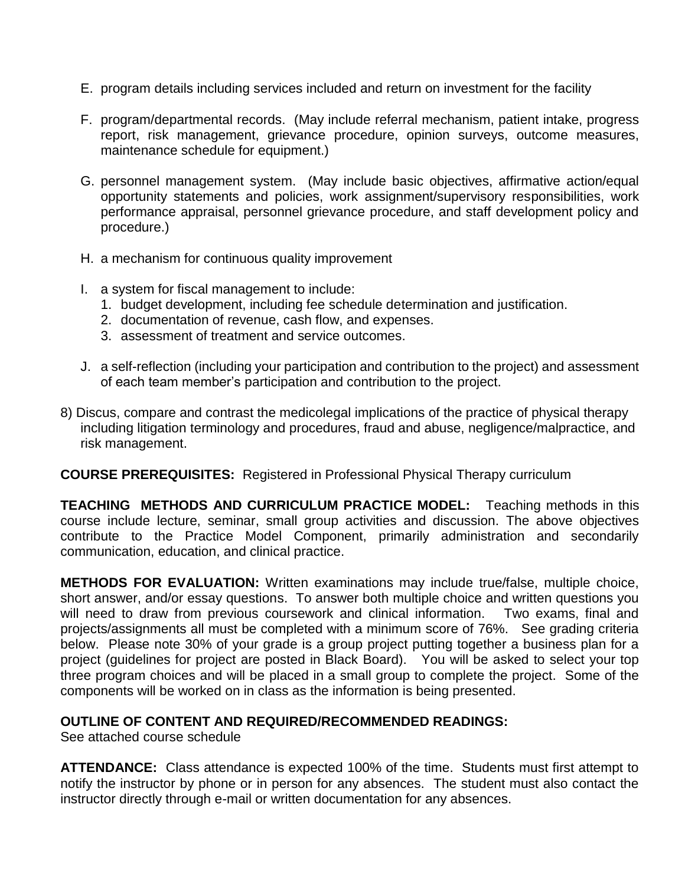- E. program details including services included and return on investment for the facility
- F. program/departmental records. (May include referral mechanism, patient intake, progress report, risk management, grievance procedure, opinion surveys, outcome measures, maintenance schedule for equipment.)
- G. personnel management system. (May include basic objectives, affirmative action/equal opportunity statements and policies, work assignment/supervisory responsibilities, work performance appraisal, personnel grievance procedure, and staff development policy and procedure.)
- H. a mechanism for continuous quality improvement
- I. a system for fiscal management to include:
	- 1. budget development, including fee schedule determination and justification.
	- 2. documentation of revenue, cash flow, and expenses.
	- 3. assessment of treatment and service outcomes.
- J. a self-reflection (including your participation and contribution to the project) and assessment of each team member's participation and contribution to the project.
- 8) Discus, compare and contrast the medicolegal implications of the practice of physical therapy including litigation terminology and procedures, fraud and abuse, negligence/malpractice, and risk management.

### **COURSE PREREQUISITES:** Registered in Professional Physical Therapy curriculum

**TEACHING METHODS AND CURRICULUM PRACTICE MODEL:** Teaching methods in this course include lecture, seminar, small group activities and discussion. The above objectives contribute to the Practice Model Component, primarily administration and secondarily communication, education, and clinical practice.

**METHODS FOR EVALUATION:** Written examinations may include true/false, multiple choice, short answer, and/or essay questions. To answer both multiple choice and written questions you will need to draw from previous coursework and clinical information. Two exams, final and projects/assignments all must be completed with a minimum score of 76%. See grading criteria below. Please note 30% of your grade is a group project putting together a business plan for a project (guidelines for project are posted in Black Board). You will be asked to select your top three program choices and will be placed in a small group to complete the project. Some of the components will be worked on in class as the information is being presented.

### **OUTLINE OF CONTENT AND REQUIRED/RECOMMENDED READINGS:**

See attached course schedule

**ATTENDANCE:** Class attendance is expected 100% of the time. Students must first attempt to notify the instructor by phone or in person for any absences. The student must also contact the instructor directly through e-mail or written documentation for any absences.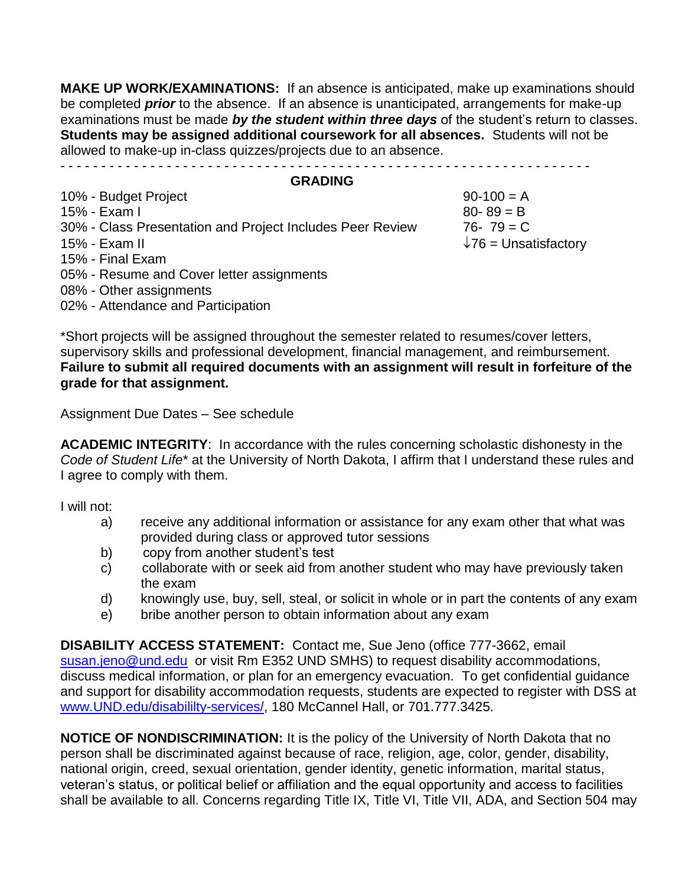**MAKE UP WORK/EXAMINATIONS:** If an absence is anticipated, make up examinations should be completed *prior* to the absence. If an absence is unanticipated, arrangements for make-up examinations must be made *by the student within three days* of the student's return to classes. **Students may be assigned additional coursework for all absences.** Students will not be allowed to make-up in-class quizzes/projects due to an absence. - - - - - - - - - - - - - - - - - - - - - - - - - - - - - - - - - - - - - - - - - - - - - - - - - - - - - - - - - - - - - - - - -

#### **GRADING**

| 10% - Budget Project                                      | $90-100 = A$                 |
|-----------------------------------------------------------|------------------------------|
| 15% - Exam I                                              | $80 - 89 = B$                |
| 30% - Class Presentation and Project Includes Peer Review | $76 - 79 = C$                |
| 15% - Exam II                                             | $\sqrt{76}$ = Unsatisfactory |
| 15% - Final Exam                                          |                              |
| 05% - Resume and Cover letter assignments                 |                              |
| 08% - Other assignments                                   |                              |
| 02% - Attendance and Participation                        |                              |

\*Short projects will be assigned throughout the semester related to resumes/cover letters, supervisory skills and professional development, financial management, and reimbursement. **Failure to submit all required documents with an assignment will result in forfeiture of the grade for that assignment.** 

Assignment Due Dates – See schedule

**ACADEMIC INTEGRITY**: In accordance with the rules concerning scholastic dishonesty in the *Code of Student Life*\* at the University of North Dakota, I affirm that I understand these rules and I agree to comply with them.

I will not:

- a) receive any additional information or assistance for any exam other that what was provided during class or approved tutor sessions
- b) copy from another student's test
- c) collaborate with or seek aid from another student who may have previously taken the exam
- d) knowingly use, buy, sell, steal, or solicit in whole or in part the contents of any exam
- e) bribe another person to obtain information about any exam

**DISABILITY ACCESS STATEMENT:** Contact me, Sue Jeno (office 777-3662, email [susan.jeno@und.edu](mailto:susan.jeno@und.edu) or visit Rm E352 UND SMHS) to request disability accommodations, discuss medical information, or plan for an emergency evacuation. To get confidential guidance and support for disability accommodation requests, students are expected to register with DSS at [www.UND.edu/disabililty-services/,](file:///C:/Users/David.Relling/Documents/@UND-PT%20Teaching_Research_Service/@Teaching/@Teaching%20FALL/PT513/Syllabus_Objectives/www.UND.edu/disabililty-services/) 180 McCannel Hall, or 701.777.3425.

**NOTICE OF NONDISCRIMINATION:** It is the policy of the University of North Dakota that no person shall be discriminated against because of race, religion, age, color, gender, disability, national origin, creed, sexual orientation, gender identity, genetic information, marital status, veteran's status, or political belief or affiliation and the equal opportunity and access to facilities shall be available to all. Concerns regarding Title IX, Title VI, Title VII, ADA, and Section 504 may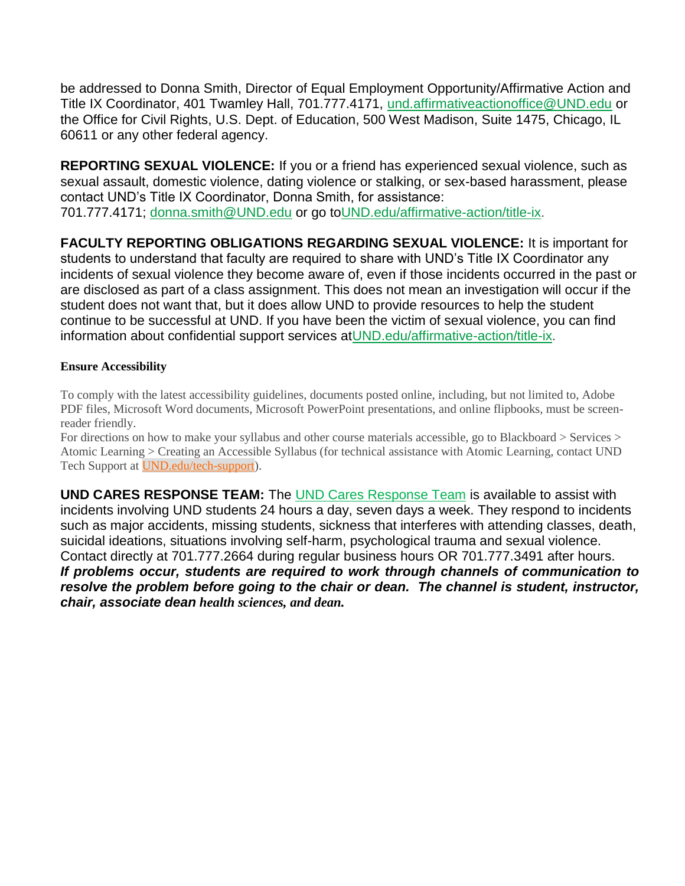be addressed to Donna Smith, Director of Equal Employment Opportunity/Affirmative Action and Title IX Coordinator, 401 Twamley Hall, 701.777.4171, [und.affirmativeactionoffice@UND.edu](mailto:und.affirmativeactionoffice@UND.edu) or the Office for Civil Rights, U.S. Dept. of Education, 500 West Madison, Suite 1475, Chicago, IL 60611 or any other federal agency.

**REPORTING SEXUAL VIOLENCE:** If you or a friend has experienced sexual violence, such as sexual assault, domestic violence, dating violence or stalking, or sex-based harassment, please contact UND's Title IX Coordinator, Donna Smith, for assistance: 701.777.4171; [donna.smith@UND.edu](mailto:donna.smith@UND.edu) or go t[oUND.edu/affirmative-action/title-ix.](http://und.edu/affirmative-action/title-ix/index.cfm)

**FACULTY REPORTING OBLIGATIONS REGARDING SEXUAL VIOLENCE:** It is important for students to understand that faculty are required to share with UND's Title IX Coordinator any incidents of sexual violence they become aware of, even if those incidents occurred in the past or are disclosed as part of a class assignment. This does not mean an investigation will occur if the student does not want that, but it does allow UND to provide resources to help the student continue to be successful at UND. If you have been the victim of sexual violence, you can find information about confidential support services a[tUND.edu/affirmative-action/title-ix.](http://und.edu/affirmative-action/title-ix/index.cfm)

### **Ensure Accessibility**

To comply with the latest accessibility guidelines, documents posted online, including, but not limited to, Adobe PDF files, Microsoft Word documents, Microsoft PowerPoint presentations, and online flipbooks, must be screenreader friendly.

For directions on how to make your syllabus and other course materials accessible, go to Blackboard > Services > Atomic Learning > Creating an Accessible Syllabus (for technical assistance with Atomic Learning, contact UND Tech Support at **UND**.edu/tech-support).

**UND CARES RESPONSE TEAM:** The [UND Cares Response Team](http://und.edu/student-affairs/student-rights-responsibilities/care-team.cfm) is available to assist with incidents involving UND students 24 hours a day, seven days a week. They respond to incidents such as major accidents, missing students, sickness that interferes with attending classes, death, suicidal ideations, situations involving self-harm, psychological trauma and sexual violence. Contact directly at 701.777.2664 during regular business hours OR 701.777.3491 after hours. *If problems occur, students are required to work through channels of communication to resolve the problem before going to the chair or dean. The channel is student, instructor, chair, associate dean health sciences, and dean.*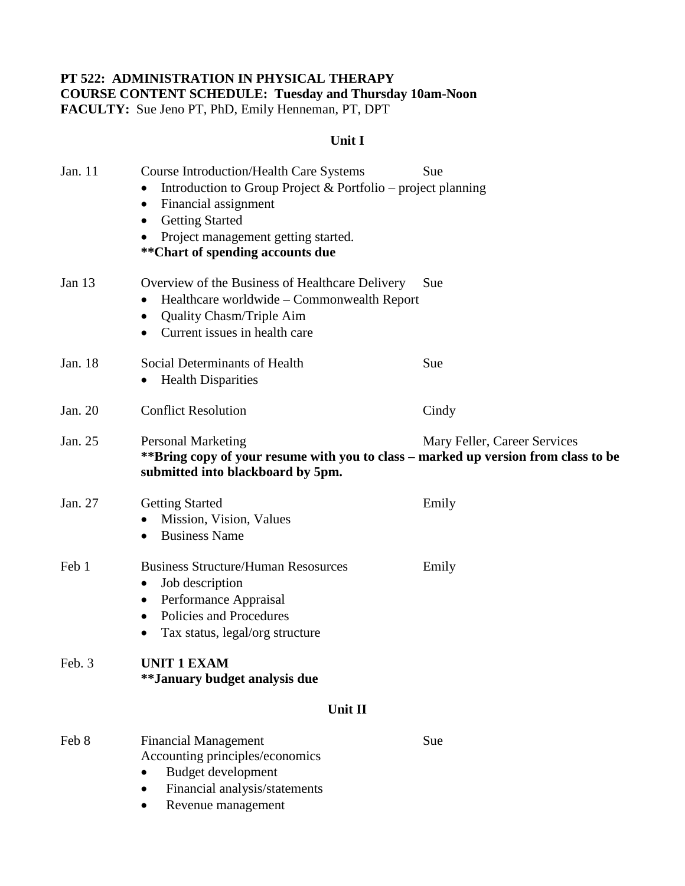### **PT 522: ADMINISTRATION IN PHYSICAL THERAPY COURSE CONTENT SCHEDULE: Tuesday and Thursday 10am-Noon FACULTY:** Sue Jeno PT, PhD, Emily Henneman, PT, DPT

# **Unit I**

| Jan. 11 | <b>Course Introduction/Health Care Systems</b><br>Introduction to Group Project & Portfolio – project planning<br>Financial assignment<br><b>Getting Started</b><br>$\bullet$<br>Project management getting started.<br>** Chart of spending accounts due | Sue                          |
|---------|-----------------------------------------------------------------------------------------------------------------------------------------------------------------------------------------------------------------------------------------------------------|------------------------------|
| Jan 13  | Overview of the Business of Healthcare Delivery<br>Healthcare worldwide - Commonwealth Report<br><b>Quality Chasm/Triple Aim</b><br>$\bullet$<br>Current issues in health care<br>$\bullet$                                                               | Sue                          |
| Jan. 18 | Social Determinants of Health<br><b>Health Disparities</b><br>$\bullet$                                                                                                                                                                                   | Sue                          |
| Jan. 20 | <b>Conflict Resolution</b>                                                                                                                                                                                                                                | Cindy                        |
| Jan. 25 | <b>Personal Marketing</b><br>**Bring copy of your resume with you to class – marked up version from class to be<br>submitted into blackboard by 5pm.                                                                                                      | Mary Feller, Career Services |
| Jan. 27 | <b>Getting Started</b><br>Mission, Vision, Values<br><b>Business Name</b><br>$\bullet$                                                                                                                                                                    | Emily                        |
| Feb 1   | <b>Business Structure/Human Resosurces</b><br>Job description<br>Performance Appraisal<br>Policies and Procedures<br>٠<br>Tax status, legal/org structure                                                                                                 | Emily                        |
| Feb. 3  | <b>UNIT 1 EXAM</b><br>**January budget analysis due                                                                                                                                                                                                       |                              |
|         | Unit II                                                                                                                                                                                                                                                   |                              |
| Feb 8   | <b>Financial Management</b><br>Accounting principles/economics<br>Budget development<br>Financial analysis/statements<br>Revenue management                                                                                                               | Sue                          |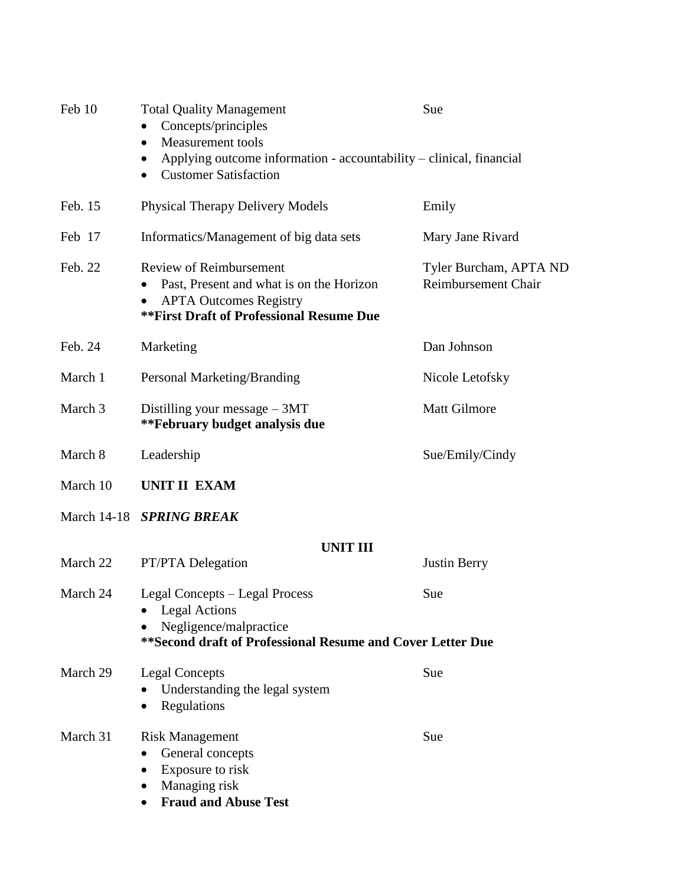| Feb 10             | <b>Total Quality Management</b><br>Concepts/principles<br><b>Measurement</b> tools<br>$\bullet$<br>Applying outcome information - accountability – clinical, financial<br><b>Customer Satisfaction</b><br>$\bullet$ | Sue                                           |  |
|--------------------|---------------------------------------------------------------------------------------------------------------------------------------------------------------------------------------------------------------------|-----------------------------------------------|--|
| Feb. 15            | <b>Physical Therapy Delivery Models</b>                                                                                                                                                                             | Emily                                         |  |
| Feb 17             | Informatics/Management of big data sets                                                                                                                                                                             | Mary Jane Rivard                              |  |
| Feb. 22            | <b>Review of Reimbursement</b><br>Past, Present and what is on the Horizon<br><b>APTA Outcomes Registry</b><br>٠<br><b>**First Draft of Professional Resume Due</b>                                                 | Tyler Burcham, APTA ND<br>Reimbursement Chair |  |
| Feb. 24            | Marketing                                                                                                                                                                                                           | Dan Johnson                                   |  |
| March 1            | Personal Marketing/Branding                                                                                                                                                                                         | Nicole Letofsky                               |  |
| March 3            | Distilling your message $-3MT$<br>**February budget analysis due                                                                                                                                                    | <b>Matt Gilmore</b>                           |  |
| March 8            | Leadership                                                                                                                                                                                                          | Sue/Emily/Cindy                               |  |
| March 10           | <b>UNIT II EXAM</b>                                                                                                                                                                                                 |                                               |  |
| <b>March 14-18</b> | <b>SPRING BREAK</b>                                                                                                                                                                                                 |                                               |  |
|                    | <b>UNIT III</b>                                                                                                                                                                                                     |                                               |  |
| March 22           | PT/PTA Delegation                                                                                                                                                                                                   | <b>Justin Berry</b>                           |  |
| March 24           | Legal Concepts – Legal Process<br><b>Legal Actions</b><br>Negligence/malpractice<br>** Second draft of Professional Resume and Cover Letter Due                                                                     | Sue                                           |  |
| March 29           | <b>Legal Concepts</b><br>Understanding the legal system<br>Regulations<br>$\bullet$                                                                                                                                 | Sue                                           |  |
| March 31           | <b>Risk Management</b><br>General concepts<br>$\bullet$<br>Exposure to risk<br>٠<br>Managing risk<br><b>Fraud and Abuse Test</b><br>$\bullet$                                                                       | Sue                                           |  |